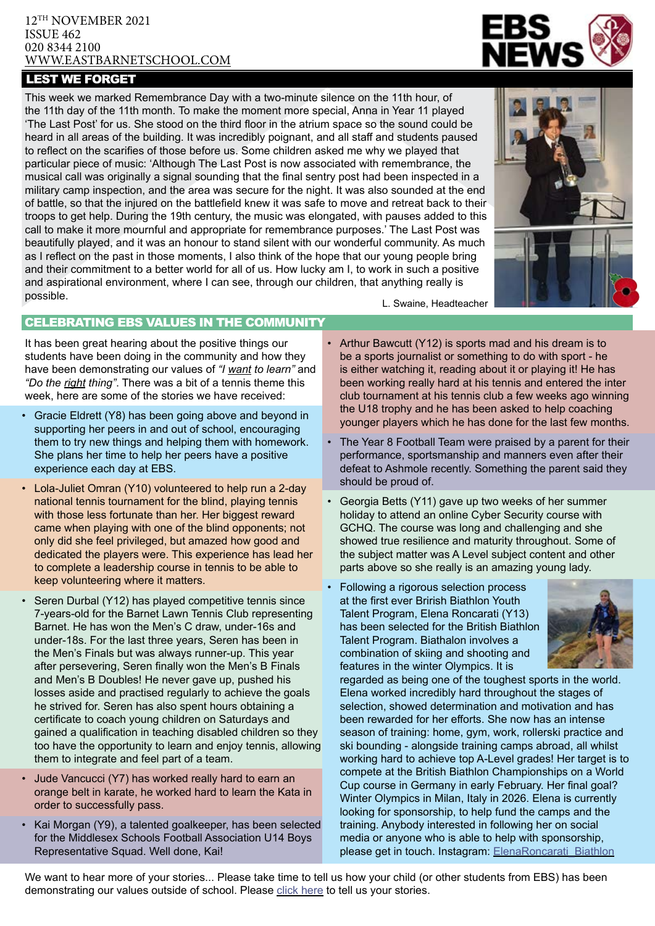#### 12TH NOVEMBER 2021 ISSUE 462 020 8344 2100 [WWW.EASTBARNETSCHOOL.](http://www.eastbarnet.barnet.sch.uk)COM

## LEST WE FORGET

This week we marked Remembrance Day with a two-minute silence on the 11th hour, of the 11th day of the 11th month. To make the moment more special, Anna in Year 11 played 'The Last Post' for us. She stood on the third floor in the atrium space so the sound could be heard in all areas of the building. It was incredibly poignant, and all staff and students paused to reflect on the scarifies of those before us. Some children asked me why we played that particular piece of music: 'Although The Last Post is now associated with remembrance, the musical call was originally a signal sounding that the final sentry post had been inspected in a military camp inspection, and the area was secure for the night. It was also sounded at the end of battle, so that the injured on the battlefield knew it was safe to move and retreat back to their troops to get help. During the 19th century, the music was elongated, with pauses added to this call to make it more mournful and appropriate for remembrance purposes.' The Last Post was beautifully played, and it was an honour to stand silent with our wonderful community. As much as I reflect on the past in those moments, I also think of the hope that our young people bring and their commitment to a better world for all of us. How lucky am I, to work in such a positive and aspirational environment, where I can see, through our children, that anything really is possible. L. Swaine, Headteacher



### CELEBRATING EBS VALUES IN THE COMMUNITY

It has been great hearing about the positive things our students have been doing in the community and how they have been demonstrating our values of *"I want to learn"* and *"Do the right thing"*. There was a bit of a tennis theme this week, here are some of the stories we have received:

- Gracie Eldrett (Y8) has been going above and beyond in supporting her peers in and out of school, encouraging them to try new things and helping them with homework. She plans her time to help her peers have a positive experience each day at EBS.
- Lola-Juliet Omran (Y10) volunteered to help run a 2-day national tennis tournament for the blind, playing tennis with those less fortunate than her. Her biggest reward came when playing with one of the blind opponents; not only did she feel privileged, but amazed how good and dedicated the players were. This experience has lead her to complete a leadership course in tennis to be able to keep volunteering where it matters.
- Seren Durbal (Y12) has played competitive tennis since 7-years-old for the Barnet Lawn Tennis Club representing Barnet. He has won the Men's C draw, under-16s and under-18s. For the last three years, Seren has been in the Men's Finals but was always runner-up. This year after persevering, Seren finally won the Men's B Finals and Men's B Doubles! He never gave up, pushed his losses aside and practised regularly to achieve the goals he strived for. Seren has also spent hours obtaining a certificate to coach young children on Saturdays and gained a qualification in teaching disabled children so they too have the opportunity to learn and enjoy tennis, allowing them to integrate and feel part of a team.
- Jude Vancucci (Y7) has worked really hard to earn an orange belt in karate, he worked hard to learn the Kata in order to successfully pass.
- Kai Morgan (Y9), a talented goalkeeper, has been selected for the Middlesex Schools Football Association U14 Boys Representative Squad. Well done, Kai!

- Arthur Bawcutt (Y12) is sports mad and his dream is to be a sports journalist or something to do with sport - he is either watching it, reading about it or playing it! He has been working really hard at his tennis and entered the inter club tournament at his tennis club a few weeks ago winning the U18 trophy and he has been asked to help coaching younger players which he has done for the last few months.
- The Year 8 Football Team were praised by a parent for their performance, sportsmanship and manners even after their defeat to Ashmole recently. Something the parent said they should be proud of.
- Georgia Betts (Y11) gave up two weeks of her summer holiday to attend an online Cyber Security course with GCHQ. The course was long and challenging and she showed true resilience and maturity throughout. Some of the subject matter was A Level subject content and other parts above so she really is an amazing young lady.
- Following a rigorous selection process at the first ever Brirish Biathlon Youth Talent Program, Elena Roncarati (Y13) has been selected for the British Biathlon Talent Program. Biathalon involves a combination of skiing and shooting and features in the winter Olympics. It is



regarded as being one of the toughest sports in the world. Elena worked incredibly hard throughout the stages of selection, showed determination and motivation and has been rewarded for her efforts. She now has an intense season of training: home, gym, work, rollerski practice and ski bounding - alongside training camps abroad, all whilst working hard to achieve top A-Level grades! Her target is to compete at the British Biathlon Championships on a World Cup course in Germany in early February. Her final goal? Winter Olympics in Milan, Italy in 2026. Elena is currently looking for sponsorship, to help fund the camps and the training. Anybody interested in following her on social media or anyone who is able to help with sponsorship, please get in touch. Instagram: [ElenaRoncarati\\_Biathlon](https://www.instagram.com/elenaroncarati_biathlon/)

We want to hear more of your stories... Please take time to tell us how your child (or other students from EBS) has been demonstrating our values outside of school. Please [click here](https://forms.office.com/Pages/ResponsePage.aspx%3Fid%3D4kFGXmlpVU61MQ_CEg-8Goi5HIiNbKJIq5aFRCb9wotUQTlFOFJXN1o5M1QyTE40SDhMQ1JPTUQ0Si4u) to tell us your stories.

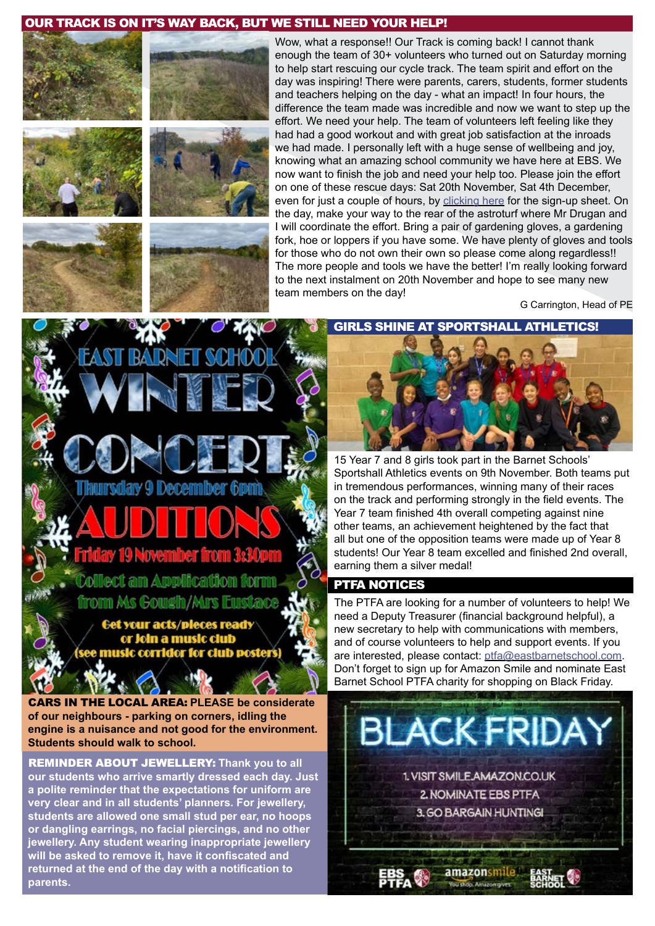## OUR TRACK IS ON IT'S WAY BACK, BUT WE STILL NEED YOUR HELP!





Wow, what a response!! Our Track is coming back! I cannot thank enough the team of 30+ volunteers who turned out on Saturday morning to help start rescuing our cycle track. The team spirit and effort on the day was inspiring! There were parents, carers, students, former students and teachers helping on the day - what an impact! In four hours, the difference the team made was incredible and now we want to step up the effort. We need your help. The team of volunteers left feeling like they had had a good workout and with great job satisfaction at the inroads we had made. I personally left with a huge sense of wellbeing and joy, knowing what an amazing school community we have here at EBS. We now want to finish the job and need your help too. Please join the effort on one of these rescue days: Sat 20th November, Sat 4th December, even for just a couple of hours, by [clicking here](https://forms.office.com/Pages/ResponsePage.aspx%3Fid%3D4kFGXmlpVU61MQ_CEg-8Goi5HIiNbKJIq5aFRCb9wotUOE9PTU9KQUJFN1ZUVVcwV0I4N1JNRjUwVy4u) for the sign-up sheet. On the day, make your way to the rear of the astroturf where Mr Drugan and I will coordinate the effort. Bring a pair of gardening gloves, a gardening fork, hoe or loppers if you have some. We have plenty of gloves and tools for those who do not own their own so please come along regardless!! The more people and tools we have the better! I'm really looking forward to the next instalment on 20th November and hope to see many new team members on the day!

G Carrington, Head of PE





**December** 

# ary 19 November from 3:3

**Collect an Application for** 

from Ms Gough/Mrs Eustace

Get your acts/pleces ready or Join a music club music corridor for club poste

CARS IN THE LOCAL AREA: **PLEASE be considerate of our neighbours - parking on corners, idling the engine is a nuisance and not good for the environment. Students should walk to school.**

REMINDER ABOUT JEWELLERY: **Thank you to all our students who arrive smartly dressed each day. Just a polite reminder that the expectations for uniform are very clear and in all students' planners. For jewellery, students are allowed one small stud per ear, no hoops or dangling earrings, no facial piercings, and no other jewellery. Any student wearing inappropriate jewellery will be asked to remove it, have it confiscated and returned at the end of the day with a notification to parents.**

GIRLS SHINE AT SPORTSHALL ATHLETICS!

15 Year 7 and 8 girls took part in the Barnet Schools' Sportshall Athletics events on 9th November. Both teams put in tremendous performances, winning many of their races on the track and performing strongly in the field events. The Year 7 team finished 4th overall competing against nine other teams, an achievement heightened by the fact that all but one of the opposition teams were made up of Year 8 students! Our Year 8 team excelled and finished 2nd overall, earning them a silver medal!

#### PTFA NOTICES

The PTFA are looking for a number of volunteers to help! We need a Deputy Treasurer (financial background helpful), a new secretary to help with communications with members, and of course volunteers to help and support events. If you are interested, please contact: [ptfa@eastbarnetschool.com](mailto:ptfa%40eastbarnetschool.com?subject=PTFA). Don't forget to sign up for Amazon Smile and nominate East Barnet School PTFA charity for shopping on Black Friday.